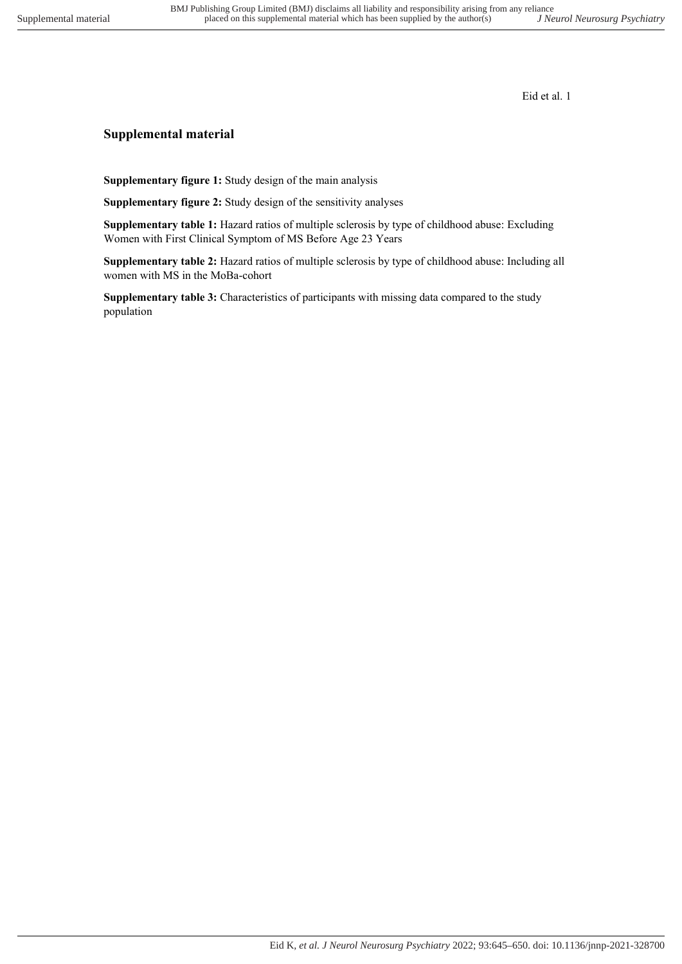## **Supplemental material**

**Supplementary figure 1:** Study design of the main analysis

**Supplementary figure 2:** Study design of the sensitivity analyses

**Supplementary table 1:** Hazard ratios of multiple sclerosis by type of childhood abuse: Excluding Women with First Clinical Symptom of MS Before Age 23 Years

**Supplementary table 2:** Hazard ratios of multiple sclerosis by type of childhood abuse: Including all women with MS in the MoBa-cohort

**Supplementary table 3:** Characteristics of participants with missing data compared to the study population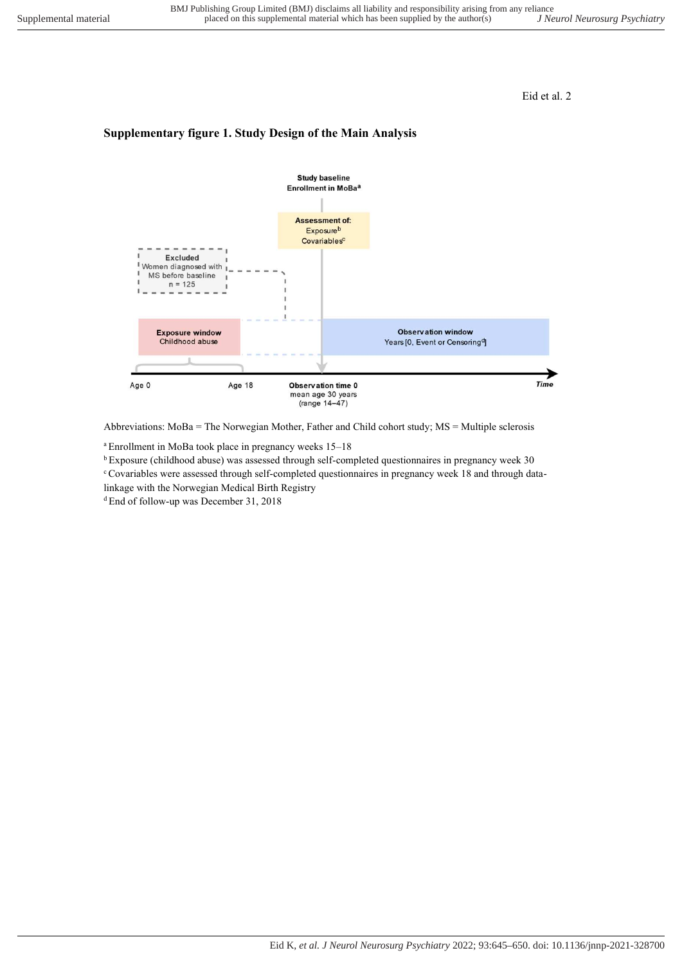### **Supplementary figure 1. Study Design of the Main Analysis**



Abbreviations: MoBa = The Norwegian Mother, Father and Child cohort study; MS = Multiple sclerosis

<sup>a</sup>Enrollment in MoBa took place in pregnancy weeks 15–18

<sup>b</sup>Exposure (childhood abuse) was assessed through self-completed questionnaires in pregnancy week 30

c Covariables were assessed through self-completed questionnaires in pregnancy week 18 and through data-

linkage with the Norwegian Medical Birth Registry

<sup>d</sup> End of follow-up was December 31, 2018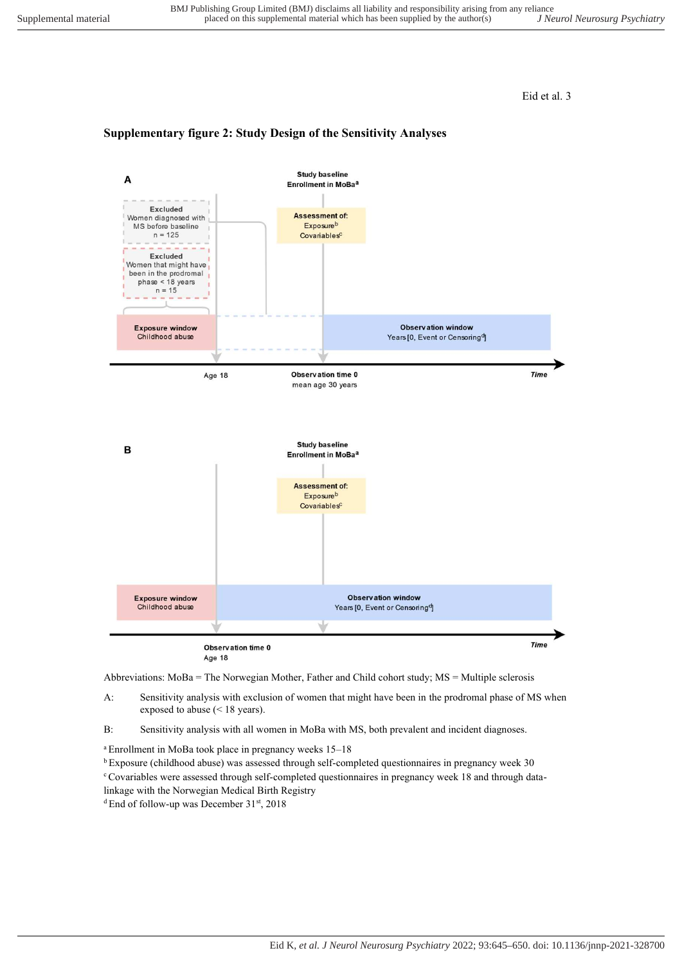#### **Supplementary figure 2: Study Design of the Sensitivity Analyses**



Abbreviations: MoBa = The Norwegian Mother, Father and Child cohort study; MS = Multiple sclerosis

- A: Sensitivity analysis with exclusion of women that might have been in the prodromal phase of MS when exposed to abuse (< 18 years).
- B: Sensitivity analysis with all women in MoBa with MS, both prevalent and incident diagnoses.

<sup>a</sup>Enrollment in MoBa took place in pregnancy weeks 15–18

<sup>b</sup>Exposure (childhood abuse) was assessed through self-completed questionnaires in pregnancy week 30 c Covariables were assessed through self-completed questionnaires in pregnancy week 18 and through datalinkage with the Norwegian Medical Birth Registry

<sup>d</sup> End of follow-up was December 31<sup>st</sup>, 2018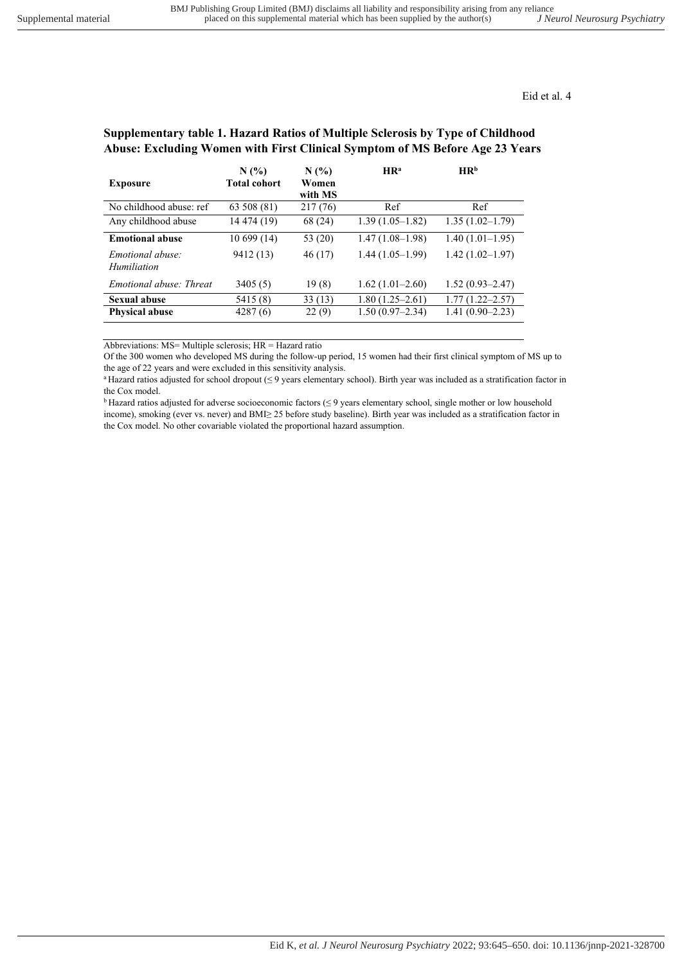## **Supplementary table 1. Hazard Ratios of Multiple Sclerosis by Type of Childhood Abuse: Excluding Women with First Clinical Symptom of MS Before Age 23 Years**

| <b>Exposure</b>                 | N(%<br>Total cohort | N(%<br>Women<br>with MS | HR <sup>a</sup>   | HR <sup>b</sup>     |
|---------------------------------|---------------------|-------------------------|-------------------|---------------------|
| No childhood abuse: ref         | 63 508 (81)         | 217 (76)                | Ref               | Ref                 |
| Any childhood abuse             | 14 474 (19)         | 68 (24)                 | $1.39(1.05-1.82)$ | $1.35(1.02 - 1.79)$ |
| <b>Emotional abuse</b>          | 10699(14)           | 53 (20)                 | $1.47(1.08-1.98)$ | $1.40(1.01-1.95)$   |
| Emotional abuse:<br>Humiliation | 9412 (13)           | 46(17)                  | $1.44(1.05-1.99)$ | $1.42(1.02 - 1.97)$ |
| Emotional abuse: Threat         | 3405(5)             | 19(8)                   | $1.62(1.01-2.60)$ | $1.52(0.93 - 2.47)$ |
| Sexual abuse                    | 5415 (8)            | 33(13)                  | $1.80(1.25-2.61)$ | $1.77(1.22 - 2.57)$ |
| <b>Physical abuse</b>           | 4287(6)             | 22(9)                   | $1.50(0.97-2.34)$ | $1.41(0.90 - 2.23)$ |

Abbreviations: MS= Multiple sclerosis; HR = Hazard ratio

Of the 300 women who developed MS during the follow-up period, 15 women had their first clinical symptom of MS up to the age of 22 years and were excluded in this sensitivity analysis.

aHazard ratios adjusted for school dropout (≤ 9 years elementary school). Birth year was included as a stratification factor in the Cox model.

<sup>b</sup>Hazard ratios adjusted for adverse socioeconomic factors (≤ 9 years elementary school, single mother or low household income), smoking (ever vs. never) and BMI≥ 25 before study baseline). Birth year was included as a stratification factor in the Cox model. No other covariable violated the proportional hazard assumption.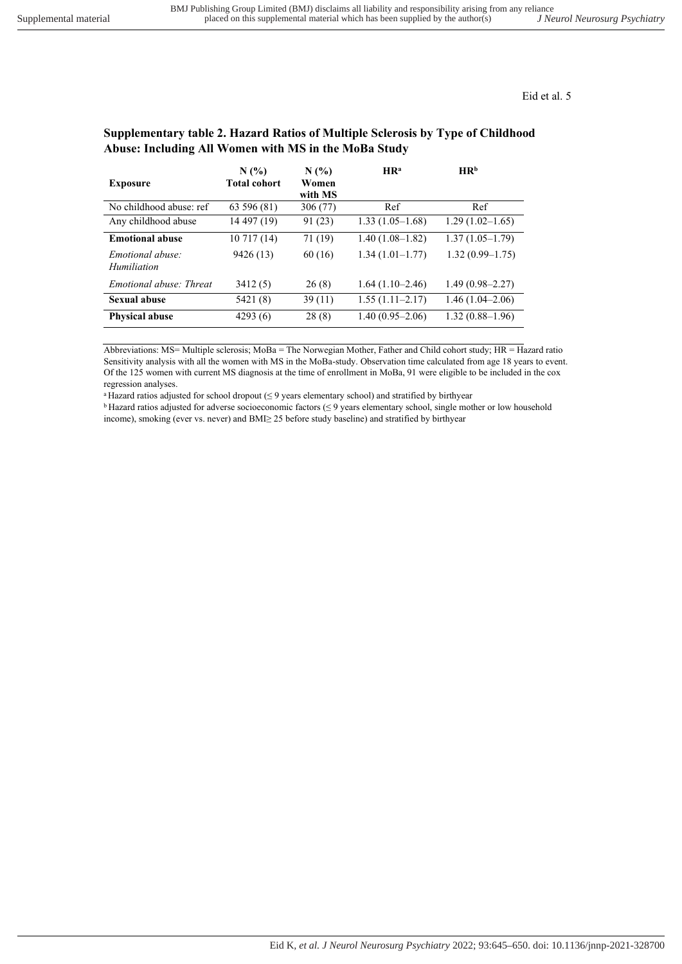| <b>Exposure</b>                 | $N(\%)$<br><b>Total cohort</b> | N(%<br>Women<br>with MS | HR <sup>a</sup>   | HR <sup>b</sup>     |
|---------------------------------|--------------------------------|-------------------------|-------------------|---------------------|
| No childhood abuse: ref         | 63 596 (81)                    | 306 (77)                | Ref               | Ref                 |
| Any childhood abuse             | 14 497 (19)                    | 91 (23)                 | $1.33(1.05-1.68)$ | $1.29(1.02 - 1.65)$ |
| <b>Emotional abuse</b>          | 10717(14)                      | 71 (19)                 | $1.40(1.08-1.82)$ | $1.37(1.05-1.79)$   |
| Emotional abuse:<br>Humiliation | 9426 (13)                      | 60 (16)                 | $1.34(1.01-1.77)$ | $1.32(0.99-1.75)$   |
| Emotional abuse: Threat         | 3412(5)                        | 26(8)                   | $1.64(1.10-2.46)$ | $1.49(0.98 - 2.27)$ |
| Sexual abuse                    | 5421 (8)                       | 39 (11)                 | $1.55(1.11-2.17)$ | $1.46(1.04 - 2.06)$ |
| <b>Physical abuse</b>           | 4293(6)                        | 28(8)                   | $1.40(0.95-2.06)$ | $1.32(0.88 - 1.96)$ |

# **Supplementary table 2. Hazard Ratios of Multiple Sclerosis by Type of Childhood Abuse: Including All Women with MS in the MoBa Study**

Abbreviations: MS= Multiple sclerosis; MoBa = The Norwegian Mother, Father and Child cohort study; HR = Hazard ratio Sensitivity analysis with all the women with MS in the MoBa-study. Observation time calculated from age 18 years to event. Of the 125 women with current MS diagnosis at the time of enrollment in MoBa, 91 were eligible to be included in the cox regression analyses.

<sup>a</sup>Hazard ratios adjusted for school dropout (≤ 9 years elementary school) and stratified by birthyear

<sup>b</sup>Hazard ratios adjusted for adverse socioeconomic factors (≤ 9 years elementary school, single mother or low household income), smoking (ever vs. never) and BMI≥ 25 before study baseline) and stratified by birthyear